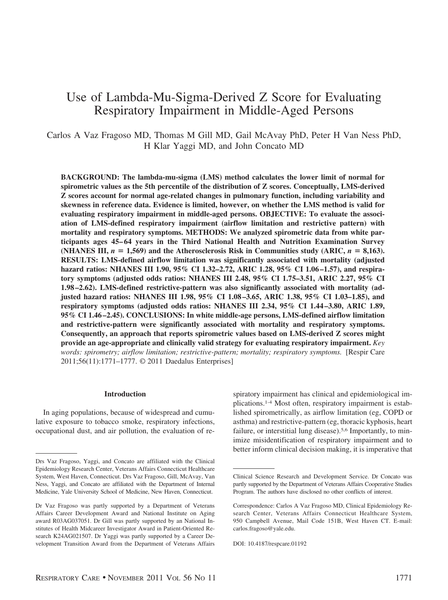# Use of Lambda-Mu-Sigma-Derived Z Score for Evaluating Respiratory Impairment in Middle-Aged Persons

Carlos A Vaz Fragoso MD, Thomas M Gill MD, Gail McAvay PhD, Peter H Van Ness PhD, H Klar Yaggi MD, and John Concato MD

**BACKGROUND: The lambda-mu-sigma (LMS) method calculates the lower limit of normal for spirometric values as the 5th percentile of the distribution of Z scores. Conceptually, LMS-derived Z scores account for normal age-related changes in pulmonary function, including variability and skewness in reference data. Evidence is limited, however, on whether the LMS method is valid for evaluating respiratory impairment in middle-aged persons. OBJECTIVE: To evaluate the association of LMS-defined respiratory impairment (airflow limitation and restrictive pattern) with mortality and respiratory symptoms. METHODS: We analyzed spirometric data from white participants ages 45– 64 years in the Third National Health and Nutrition Examination Survey** (NHANES III,  $n = 1,569$ ) and the Atherosclerosis Risk in Communities study (ARIC,  $n = 8,163$ ). **RESULTS: LMS-defined airflow limitation was significantly associated with mortality (adjusted hazard ratios: NHANES III 1.90, 95% CI 1.32–2.72, ARIC 1.28, 95% CI 1.06 –1.57), and respiratory symptoms (adjusted odds ratios: NHANES III 2.48, 95% CI 1.75–3.51, ARIC 2.27, 95% CI 1.98 –2.62). LMS-defined restrictive-pattern was also significantly associated with mortality (adjusted hazard ratios: NHANES III 1.98, 95% CI 1.08 –3.65, ARIC 1.38, 95% CI 1.03–1.85), and respiratory symptoms (adjusted odds ratios: NHANES III 2.34, 95% CI 1.44 –3.80, ARIC 1.89, 95% CI 1.46 –2.45). CONCLUSIONS: In white middle-age persons, LMS-defined airflow limitation and restrictive-pattern were significantly associated with mortality and respiratory symptoms. Consequently, an approach that reports spirometric values based on LMS-derived Z scores might provide an age-appropriate and clinically valid strategy for evaluating respiratory impairment.** *Key words: spirometry; airflow limitation; restrictive-pattern; mortality; respiratory symptoms.* [Respir Care 2011;56(11):1771–1777. © 2011 Daedalus Enterprises]

#### **Introduction**

In aging populations, because of widespread and cumulative exposure to tobacco smoke, respiratory infections, occupational dust, and air pollution, the evaluation of respiratory impairment has clinical and epidemiological implications.1-4 Most often, respiratory impairment is established spirometrically, as airflow limitation (eg, COPD or asthma) and restrictive-pattern (eg, thoracic kyphosis, heart failure, or interstitial lung disease).<sup>5,6</sup> Importantly, to minimize misidentification of respiratory impairment and to better inform clinical decision making, it is imperative that

Drs Vaz Fragoso, Yaggi, and Concato are affiliated with the Clinical Epidemiology Research Center, Veterans Affairs Connecticut Healthcare System, West Haven, Connecticut. Drs Vaz Fragoso, Gill, McAvay, Van Ness, Yaggi, and Concato are affiliated with the Department of Internal Medicine, Yale University School of Medicine, New Haven, Connecticut.

Dr Vaz Fragoso was partly supported by a Department of Veterans Affairs Career Development Award and National Institute on Aging award R03AG037051. Dr Gill was partly supported by an National Institutes of Health Midcareer Investigator Award in Patient-Oriented Research K24AG021507. Dr Yaggi was partly supported by a Career Development Transition Award from the Department of Veterans Affairs

Clinical Science Research and Development Service. Dr Concato was partly supported by the Department of Veterans Affairs Cooperative Studies Program. The authors have disclosed no other conflicts of interest.

Correspondence: Carlos A Vaz Fragoso MD, Clinical Epidemiology Research Center, Veterans Affairs Connecticut Healthcare System, 950 Campbell Avenue, Mail Code 151B, West Haven CT. E-mail: carlos.fragoso@yale.edu.

DOI: 10.4187/respcare.01192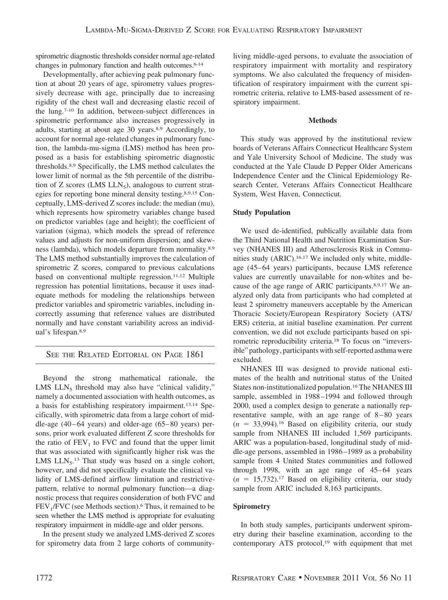spirometric diagnostic thresholds consider normal age-related changes in pulmonary function and health outcomes.<sup>6-14</sup>

Developmentally, after achieving peak pulmonary function at about 20 years of age, spirometry values progressively decrease with age, principally due to increasing rigidity of the chest wall and decreasing elastic recoil of the lung.7-10 In addition, between-subject differences in spirometric performance also increases progressively in adults, starting at about age 30 years.8,9 Accordingly, to account for normal age-related changes in pulmonary function, the lambda-mu-sigma (LMS) method has been proposed as a basis for establishing spirometric diagnostic thresholds.8,9 Specifically, the LMS method calculates the lower limit of normal as the 5th percentile of the distribution of Z scores (LMS  $LLN<sub>5</sub>$ ), analogous to current strategies for reporting bone mineral density testing.8,9,15 Conceptually, LMS-derived Z scores include: the median (mu), which represents how spirometry variables change based on predictor variables (age and height); the coefficient of variation (sigma), which models the spread of reference values and adjusts for non-uniform dispersion; and skewness (lambda), which models departure from normality.8,9 The LMS method substantially improves the calculation of spirometric Z scores, compared to previous calculations based on conventional multiple regression.<sup>11,12</sup> Multiple regression has potential limitations, because it uses inadequate methods for modeling the relationships between predictor variables and spirometric variables, including incorrectly assuming that reference values are distributed normally and have constant variability across an individual's lifespan.8,9

## SEE THE RELATED EDITORIAL ON PAGE 1861

Beyond the strong mathematical rationale, the LMS  $LLN<sub>5</sub>$  threshold may also have "clinical validity," namely a documented association with health outcomes, as a basis for establishing respiratory impairment.13,14 Specifically, with spirometric data from a large cohort of middle-age  $(40 - 64$  years) and older-age  $(65 - 80$  years) persons, prior work evaluated different Z score thresholds for the ratio of  $FEV<sub>1</sub>$  to FVC and found that the upper limit that was associated with significantly higher risk was the LMS  $LLN_5$ .<sup>13</sup> That study was based on a single cohort, however, and did not specifically evaluate the clinical validity of LMS-defined airflow limitation and restrictivepattern, relative to normal pulmonary function—a diagnostic process that requires consideration of both FVC and  $FEV<sub>1</sub>/FVC$  (see Methods section).<sup>6</sup> Thus, it remained to be seen whether the LMS method is appropriate for evaluating respiratory impairment in middle-age and older persons.

In the present study we analyzed LMS-derived Z scores for spirometry data from 2 large cohorts of communityliving middle-aged persons, to evaluate the association of respiratory impairment with mortality and respiratory symptoms. We also calculated the frequency of misidentification of respiratory impairment with the current spirometric criteria, relative to LMS-based assessment of respiratory impairment.

#### **Methods**

This study was approved by the institutional review boards of Veterans Affairs Connecticut Healthcare System and Yale University School of Medicine. The study was conducted at the Yale Claude D Pepper Older Americans Independence Center and the Clinical Epidemiology Research Center, Veterans Affairs Connecticut Healthcare System, West Haven, Connecticut.

## **Study Population**

We used de-identified, publically available data from the Third National Health and Nutrition Examination Survey (NHANES III) and Atherosclerosis Risk in Communities study (ARIC).16,17 We included only white, middleage (45– 64 years) participants, because LMS reference values are currently unavailable for non-whites and because of the age range of ARIC participants.8,9,17 We analyzed only data from participants who had completed at least 2 spirometry maneuvers acceptable by the American Thoracic Society/European Respiratory Society (ATS/ ERS) criteria, at initial baseline examination. Per current convention, we did not exclude participants based on spirometric reproducibility criteria.18 To focus on "irreversible" pathology, participants with self-reported asthma were excluded.

NHANES III was designed to provide national estimates of the health and nutritional status of the United States non-institutionalized population.16 The NHANES III sample, assembled in 1988 –1994 and followed through 2000, used a complex design to generate a nationally representative sample, with an age range of 8 – 80 years  $(n = 33,994)$ .<sup>16</sup> Based on eligibility criteria, our study sample from NHANES III included 1,569 participants. ARIC was a population-based, longitudinal study of middle-age persons, assembled in 1986 –1989 as a probability sample from 4 United States communities and followed through 1998, with an age range of  $45-64$  years  $(n = 15,732).$ <sup>17</sup> Based on eligibility criteria, our study sample from ARIC included 8,163 participants.

## **Spirometry**

In both study samples, participants underwent spirometry during their baseline examination, according to the contemporary ATS protocol,<sup>19</sup> with equipment that met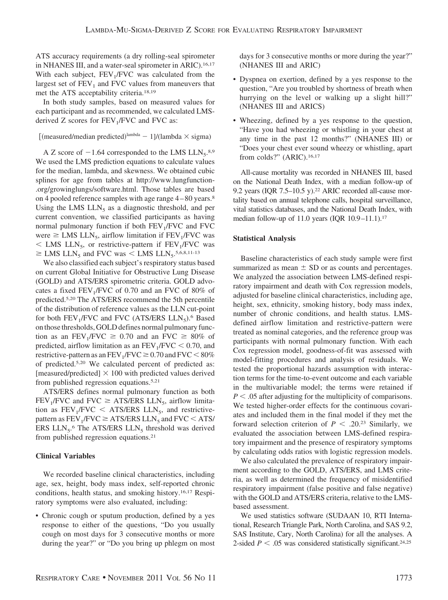ATS accuracy requirements (a dry rolling-seal spirometer in NHANES III, and a water-seal spirometer in ARIC).<sup>16,17</sup> With each subject,  $FEV<sub>1</sub>/FVC$  was calculated from the largest set of  $FEV<sub>1</sub>$  and FVC values from maneuvers that met the ATS acceptability criteria.18,19

In both study samples, based on measured values for each participant and as recommended, we calculated LMSderived Z scores for  $FEV<sub>1</sub>/FVC$  and  $FVC$  as:

[(measured/median predicted) $\lambda$ <sup>lambda</sup> - 1]/(lambda  $\times$  sigma)

A Z score of  $-1.64$  corresponded to the LMS  $LLN_5$ .<sup>8,9</sup> We used the LMS prediction equations to calculate values for the median, lambda, and skewness. We obtained cubic splines for age from tables at http://www.lungfunction- .org/growinglungs/software.html. Those tables are based on 4 pooled reference samples with age range 4 – 80 years.8 Using the LMS  $LLN_5$  as a diagnostic threshold, and per current convention, we classified participants as having normal pulmonary function if both  $FEV<sub>1</sub>/FVC$  and  $FVC$ were  $\geq$  LMS LLN<sub>5</sub>, airflow limitation if FEV<sub>1</sub>/FVC was  $\leq$  LMS LLN<sub>5</sub>, or restrictive-pattern if FEV<sub>1</sub>/FVC was  $\geq$  LMS LLN<sub>5</sub> and FVC was < LMS LLN<sub>5</sub>.<sup>5,6,8,11-13</sup>

We also classified each subject's respiratory status based on current Global Initiative for Obstructive Lung Disease (GOLD) and ATS/ERS spirometric criteria. GOLD advocates a fixed  $FEV_1/FVC$  of 0.70 and an FVC of 80% of predicted.5,20 The ATS/ERS recommend the 5th percentile of the distribution of reference values as the LLN cut-point for both  $FEV_1/FVC$  and  $FVC$  (ATS/ERS  $LLN_5$ ).<sup>6</sup> Based on those thresholds, GOLD defines normal pulmonary function as an FEV<sub>1</sub>/FVC  $\geq$  0.70 and an FVC  $\geq$  80% of predicted, airflow limitation as an  $FEV<sub>1</sub>/FVC < 0.70$ , and restrictive-pattern as an FEV<sub>1</sub>/FVC  $\geq$  0.70 and FVC  $\leq$  80% of predicted.5,20 We calculated percent of predicted as: [measured/predicted]  $\times$  100 with predicted values derived from published regression equations.5,21

ATS/ERS defines normal pulmonary function as both FEV<sub>1</sub>/FVC and FVC  $\geq$  ATS/ERS LLN<sub>5</sub>, airflow limitation as  $FEV_1/FVC < ATS/ERS$  LLN<sub>5</sub>, and restrictivepattern as  $FEV_1/FVC \geq ATS/ERS LLN_5$  and  $FVC < ATS/$ ERS  $LLN_5$ .<sup>6</sup> The ATS/ERS  $LLN_5$  threshold was derived from published regression equations.21

## **Clinical Variables**

We recorded baseline clinical characteristics, including age, sex, height, body mass index, self-reported chronic conditions, health status, and smoking history.16,17 Respiratory symptoms were also evaluated, including:

• Chronic cough or sputum production, defined by a yes response to either of the questions, "Do you usually cough on most days for 3 consecutive months or more during the year?" or "Do you bring up phlegm on most days for 3 consecutive months or more during the year?" (NHANES III and ARIC)

- Dyspnea on exertion, defined by a yes response to the question, "Are you troubled by shortness of breath when hurrying on the level or walking up a slight hill?" (NHANES III and ARICS)
- Wheezing, defined by a yes response to the question, "Have you had wheezing or whistling in your chest at any time in the past 12 months?" (NHANES III) or "Does your chest ever sound wheezy or whistling, apart from colds?" (ARIC).<sup>16,17</sup>

All-cause mortality was recorded in NHANES III, based on the National Death Index, with a median follow-up of 9.2 years (IQR 7.5-10.5 y).<sup>22</sup> ARIC recorded all-cause mortality based on annual telephone calls, hospital surveillance, vital statistics databases, and the National Death Index, with median follow-up of 11.0 years (IQR 10.9-11.1).<sup>17</sup>

## **Statistical Analysis**

Baseline characteristics of each study sample were first summarized as mean  $\pm$  SD or as counts and percentages. We analyzed the association between LMS-defined respiratory impairment and death with Cox regression models, adjusted for baseline clinical characteristics, including age, height, sex, ethnicity, smoking history, body mass index, number of chronic conditions, and health status. LMSdefined airflow limitation and restrictive-pattern were treated as nominal categories, and the reference group was participants with normal pulmonary function. With each Cox regression model, goodness-of-fit was assessed with model-fitting procedures and analysis of residuals. We tested the proportional hazards assumption with interaction terms for the time-to-event outcome and each variable in the multivariable model; the terms were retained if  $P < .05$  after adjusting for the multiplicity of comparisons. We tested higher-order effects for the continuous covariates and included them in the final model if they met the forward selection criterion of  $P < .20$ .<sup>23</sup> Similarly, we evaluated the association between LMS-defined respiratory impairment and the presence of respiratory symptoms by calculating odds ratios with logistic regression models.

We also calculated the prevalence of respiratory impairment according to the GOLD, ATS/ERS, and LMS criteria, as well as determined the frequency of misidentified respiratory impairment (false positive and false negative) with the GOLD and ATS/ERS criteria, relative to the LMSbased assessment.

We used statistics software (SUDAAN 10, RTI International, Research Triangle Park, North Carolina, and SAS 9.2, SAS Institute, Cary, North Carolina) for all the analyses. A 2-sided  $P < .05$  was considered statistically significant.<sup>24,25</sup>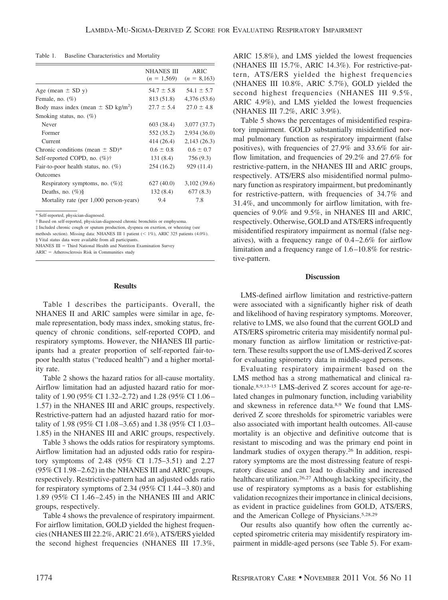Table 1. Baseline Characteristics and Mortality

|                                                    | <b>NHANES III</b><br>$(n = 1,569)$ | <b>ARIC</b><br>$(n = 8,163)$ |
|----------------------------------------------------|------------------------------------|------------------------------|
| Age (mean $\pm$ SD y)                              | $54.7 \pm 5.8$                     | $54.1 \pm 5.7$               |
| Female, no. $(\%)$                                 | 813 (51.8)                         | 4,376 (53.6)                 |
| Body mass index (mean $\pm$ SD kg/m <sup>2</sup> ) | $27.7 \pm 5.4$                     | $27.0 \pm 4.8$               |
| Smoking status, no. $(\%)$                         |                                    |                              |
| Never                                              | 603 (38.4)                         | 3,077 (37.7)                 |
| Former                                             | 552 (35.2)                         | 2,934(36.0)                  |
| Current                                            | 414 (26.4)                         | 2,143(26.3)                  |
| Chronic conditions (mean $\pm$ SD)*                | $0.6 \pm 0.8$                      | $0.6 \pm 0.7$                |
| Self-reported COPD, no. $(\% )\dagger$             | 131 (8.4)                          | 756 (9.3)                    |
| Fair-to-poor health status, no. $(\%)$             | 254 (16.2)                         | 929 (11.4)                   |
| <b>Outcomes</b>                                    |                                    |                              |
| Respiratory symptoms, no. $(\%)\ddagger$           | 627 (40.0)                         | 3,102 (39.6)                 |
| Deaths, no. $(\%)\$                                | 132(8.4)                           | 677(8.3)                     |
| Mortality rate (per 1,000 person-years)            | 9.4                                | 7.8                          |

\* Self-reported, physician-diagnosed.

‡ Included chronic cough or sputum production, dyspnea on exertion, or wheezing (see methods section). Missing data: NHANES III 1 patient  $(< 1\%)$ , ARIC 325 patients (4.0%).

§ Vital status data were available from all participants.

NHANES III = Third National Health and Nutrition Examination Survey

 $ARIC =$  Atherosclerosis Risk in Communities study

#### **Results**

Table 1 describes the participants. Overall, the NHANES II and ARIC samples were similar in age, female representation, body mass index, smoking status, frequency of chronic conditions, self-reported COPD, and respiratory symptoms. However, the NHANES III participants had a greater proportion of self-reported fair-topoor health status ("reduced health") and a higher mortality rate.

Table 2 shows the hazard ratios for all-cause mortality. Airflow limitation had an adjusted hazard ratio for mortality of 1.90 (95% CI 1.32–2.72) and 1.28 (95% CI 1.06 – 1.57) in the NHANES III and ARIC groups, respectively. Restrictive-pattern had an adjusted hazard ratio for mortality of 1.98 (95% CI 1.08 –3.65) and 1.38 (95% CI 1.03– 1.85) in the NHANES III and ARIC groups, respectively.

Table 3 shows the odds ratios for respiratory symptoms. Airflow limitation had an adjusted odds ratio for respiratory symptoms of 2.48 (95% CI 1.75–3.51) and 2.27 (95% CI 1.98 –2.62) in the NHANES III and ARIC groups, respectively. Restrictive-pattern had an adjusted odds ratio for respiratory symptoms of 2.34 (95% CI 1.44 –3.80) and 1.89 (95% CI 1.46 –2.45) in the NHANES III and ARIC groups, respectively.

Table 4 shows the prevalence of respiratory impairment. For airflow limitation, GOLD yielded the highest frequencies (NHANES III 22.2%, ARIC 21.6%), ATS/ERS yielded the second highest frequencies (NHANES III 17.3%,

ARIC 15.8%), and LMS yielded the lowest frequencies (NHANES III 15.7%, ARIC 14.3%). For restrictive-pattern, ATS/ERS yielded the highest frequencies (NHANES III 10.8%, ARIC 5.7%), GOLD yielded the second highest frequencies (NHANES III 9.5%, ARIC 4.9%), and LMS yielded the lowest frequencies (NHANES III 7.2%, ARIC 3.9%).

Table 5 shows the percentages of misidentified respiratory impairment. GOLD substantially misidentified normal pulmonary function as respiratory impairment (false positives), with frequencies of 27.9% and 33.6% for airflow limitation, and frequencies of 29.2% and 27.6% for restrictive-pattern, in the NHANES III and ARIC groups, respectively. ATS/ERS also misidentified normal pulmonary function as respiratory impairment, but predominantly for restrictive-pattern, with frequencies of 34.7% and 31.4%, and uncommonly for airflow limitation, with frequencies of 9.0% and 9.5%, in NHANES III and ARIC, respectively. Otherwise, GOLD and ATS/ERS infrequently misidentified respiratory impairment as normal (false negatives), with a frequency range of 0.4 –2.6% for airflow limitation and a frequency range of 1.6 –10.8% for restrictive-pattern.

## **Discussion**

LMS-defined airflow limitation and restrictive-pattern were associated with a significantly higher risk of death and likelihood of having respiratory symptoms. Moreover, relative to LMS, we also found that the current GOLD and ATS/ERS spirometric criteria may misidentify normal pulmonary function as airflow limitation or restrictive-pattern. These results support the use of LMS-derived Z scores for evaluating spirometry data in middle-aged persons.

Evaluating respiratory impairment based on the LMS method has a strong mathematical and clinical rationale.8,9,13-15 LMS-derived Z scores account for age-related changes in pulmonary function, including variability and skewness in reference data.8,9 We found that LMSderived Z score thresholds for spirometric variables were also associated with important health outcomes. All-cause mortality is an objective and definitive outcome that is resistant to miscoding and was the primary end point in landmark studies of oxygen therapy.26 In addition, respiratory symptoms are the most distressing feature of respiratory disease and can lead to disability and increased healthcare utilization.26,27 Although lacking specificity, the use of respiratory symptoms as a basis for establishing validation recognizes their importance in clinical decisions, as evident in practice guidelines from GOLD, ATS/ERS, and the American College of Physicians.5,28,29

Our results also quantify how often the currently accepted spirometric criteria may misidentify respiratory impairment in middle-aged persons (see Table 5). For exam-

<sup>†</sup> Based on self-reported, physician-diagnosed chronic bronchitis or emphysema.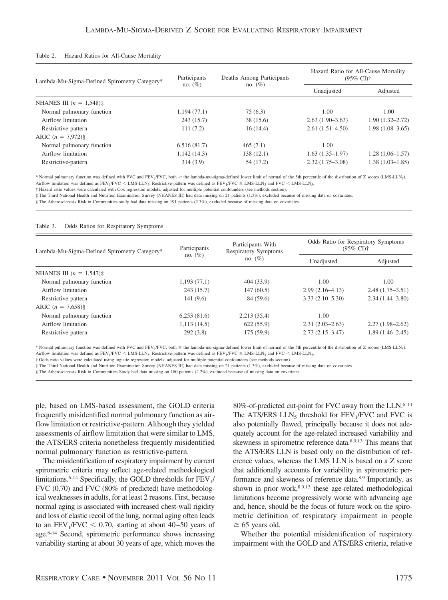| Hazard Ratios for All-Cause Mortality<br>Table 2. |  |  |
|---------------------------------------------------|--|--|
|---------------------------------------------------|--|--|

| Lambda-Mu-Sigma-Defined Spirometry Category* | Participants | Deaths Among Participants | Hazard Ratio for All-Cause Mortality<br>$(95\% \text{ CI})\dagger$ |                     |
|----------------------------------------------|--------------|---------------------------|--------------------------------------------------------------------|---------------------|
|                                              | no. $(\%)$   | no. $(\%)$                | Unadjusted                                                         | Adjusted            |
| NHANES III $(n = 1.548)$ ‡                   |              |                           |                                                                    |                     |
| Normal pulmonary function                    | 1,194(77.1)  | 75(6.3)                   | 1.00                                                               | 1.00                |
| Airflow limitation                           | 243 (15.7)   | 38(15.6)                  | $2.63(1.90-3.63)$                                                  | $1.90(1.32 - 2.72)$ |
| Restrictive-pattern                          | 111(7.2)     | 16(14.4)                  | $2.61(1.51 - 4.50)$                                                | $1.98(1.08-3.65)$   |
| ARIC $(n = 7.972)\$                          |              |                           |                                                                    |                     |
| Normal pulmonary function                    | 6,516(81.7)  | 465(7.1)                  | 1.00                                                               |                     |
| Airflow limitation                           | 1,142(14.3)  | 138(12.1)                 | $1.63(1.35-1.97)$                                                  | $1.28(1.06-1.57)$   |
| Restrictive-pattern                          | 314(3.9)     | 54 (17.2)                 | $2.32(1.75-3.08)$                                                  | $1.38(1.03-1.85)$   |

\* Normal pulmonary function was defined with FVC and FEV<sub>1</sub>/FVC, both  $\geq$  the lambda-mu-sigma-defined lower limit of normal of the 5th percentile of the distribution of Z scores (LMS-LLN<sub>5</sub>). Airflow limitation was defined as  $FEV_1/FVC < LMS-LLN_5$ . Restrictive-pattern was defined as  $FEV_1/FVC \geq LMS-LLN_5$  and  $FVC < LMS-LLN_5$ .

† Hazard ratio values were calculated with Cox regression models, adjusted for multiple potential confounders (see methods section).

‡ The Third National Health and Nutrition Examination Survey (NHANES III) had data missing on 21 patients (1.3%), excluded because of missing data on covariates.

§ The Atherosclerosis Risk in Communities study had data missing on 191 patients (2.3%), excluded because of missing data on covariates.

#### Table 3. Odds Ratios for Respiratory Symptoms

| Lambda-Mu-Sigma-Defined Spirometry Category* | Participants<br>no. $(\%)$ | Participants With<br>Respiratory Symptoms | Odds Ratio for Respiratory Symptoms<br>$(95\% \text{ CI})\dagger$ |                     |
|----------------------------------------------|----------------------------|-------------------------------------------|-------------------------------------------------------------------|---------------------|
|                                              |                            | no. $(\%)$                                | Unadjusted                                                        | Adjusted            |
| NHANES III $(n = 1.547)$ ‡                   |                            |                                           |                                                                   |                     |
| Normal pulmonary function                    | 1,193(77.1)                | 404 (33.9)                                | 1.00                                                              | 1.00                |
| Airflow limitation                           | 243 (15.7)                 | 147(60.5)                                 | $2.99(2.16-4.13)$                                                 | $2.48(1.75-3.51)$   |
| Restrictive-pattern                          | 141(9.6)                   | 84 (59.6)                                 | $3.33(2.10-5.30)$                                                 | $2.34(1.44 - 3.80)$ |
| ARIC $(n = 7,658)\$                          |                            |                                           |                                                                   |                     |
| Normal pulmonary function                    | 6,253(81.6)                | 2,213(35.4)                               | 1.00                                                              |                     |
| Airflow limitation                           | 1,113(14.5)                | 622(55.9)                                 | $2.31(2.03-2.63)$                                                 | $2.27(1.98-2.62)$   |
| Restrictive-pattern                          | 292(3.8)                   | 175(59.9)                                 | $2.73(2.15-3.47)$                                                 | $1.89(1.46-2.45)$   |

\* Normal pulmonary function was defined with FVC and FEV<sub>1</sub>/FVC, both  $\geq$  the lambda-mu-sigma-defined lower limit of normal of the 5th percentile of the distribution of Z scores (LMS-LLN5). Airflow limitation was defined as  $FEV_1/FVC < LMS-LLN_5$ . Restrictive-pattern was defined as  $FEV_1/FVC \geq LMS-LLN_5$  and  $FVC < LMS-LLN_5$ .

† Odds ratio values were calculated using logistic regression models, adjusted for multiple potential confounders (see methods section).

‡ The Third National Health and Nutrition Examination Survey (NHANES III) had data missing on 21 patients (1.3%), excluded because of missing data on covariates.

§ The Atherosclerosis Risk in Communities Study had data missing on 180 patients (2.2%), excluded because of missing data on covariates.

ple, based on LMS-based assessment, the GOLD criteria frequently misidentified normal pulmonary function as airflow limitation or restrictive-pattern. Although they yielded assessments of airflow limitation that were similar to LMS, the ATS/ERS criteria nonetheless frequently misidentified normal pulmonary function as restrictive-pattern.

The misidentification of respiratory impairment by current spirometric criteria may reflect age-related methodological limitations.<sup>6-14</sup> Specifically, the GOLD thresholds for  $FEV<sub>1</sub>/$ FVC (0.70) and FVC (80% of predicted) have methodological weaknesses in adults, for at least 2 reasons. First, because normal aging is associated with increased chest-wall rigidity and loss of elastic recoil of the lung, normal aging often leads to an  $FEV<sub>1</sub>/FVC < 0.70$ , starting at about 40–50 years of age.6-14 Second, spirometric performance shows increasing variability starting at about 30 years of age, which moves the 80%-of-predicted cut-point for FVC away from the LLN.6-14 The ATS/ERS  $LLN_5$  threshold for  $FEV_1/FVC$  and  $FVC$  is also potentially flawed, principally because it does not adequately account for the age-related increased variability and skewness in spirometric reference data.8,9,13 This means that the ATS/ERS LLN is based only on the distribution of reference values, whereas the LMS LLN is based on a Z score that additionally accounts for variability in spirometric performance and skewness of reference data.8,9 Importantly, as shown in prior work,8,9,13 these age-related methodological limitations become progressively worse with advancing age and, hence, should be the focus of future work on the spirometric definition of respiratory impairment in people  $\geq 65$  years old.

Whether the potential misidentification of respiratory impairment with the GOLD and ATS/ERS criteria, relative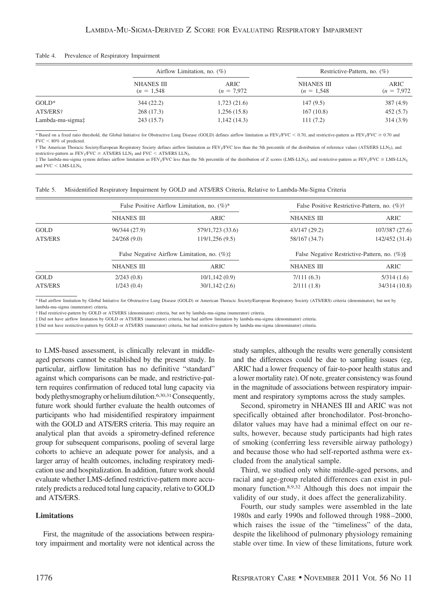| Table 4. |  |  |  | Prevalence of Respiratory Impairment |
|----------|--|--|--|--------------------------------------|
|----------|--|--|--|--------------------------------------|

|                  | Airflow Limitation, no. $(\%)$     |                       | Restrictive-Pattern, no. $(\%)$    |                       |
|------------------|------------------------------------|-----------------------|------------------------------------|-----------------------|
|                  | <b>NHANES III</b><br>$(n = 1.548)$ | ARIC<br>$(n = 7.972)$ | <b>NHANES III</b><br>$(n = 1.548)$ | ARIC<br>$(n = 7.972)$ |
| $GOLD*$          | 344(22.2)                          | 1,723(21.6)           | 147(9.5)                           | 387 (4.9)             |
| ATS/ERS†         | 268(17.3)                          | 1,256(15.8)           | 167(10.8)                          | 452(5.7)              |
| Lambda-mu-sigma‡ | 243(15.7)                          | 1,142(14.3)           | 111(7.2)                           | 314(3.9)              |

\* Based on a fixed ratio threshold, the Global Initiative for Obstructive Lung Disease (GOLD) defines airflow limitation as  $FEV_1/FVC < 0.70$ , and restrictive-pattern as  $FEV_1/FVC \ge 0.70$  and  $FVC < 80\%$  of predicted.

† The American Thoracic Society/European Respiratory Society defines airflow limitation as FEV<sub>1</sub>/FVC less than the 5th percentile of the distribution of reference values (ATS/ERS LLN<sub>5</sub>), and restrictive-pattern as  $FEV_1/FVC \geq ATS/ERS$  LLN<sub>5</sub> and  $FVC < ATS/ERS$  LLN<sub>5</sub>.

 $\ddagger$  The lambda-mu-sigma system defines airflow limitation as FEV<sub>1</sub>/FVC less than the 5th percentile of the distribution of Z scores (LMS-LLN<sub>5</sub>), and restrictive-pattern as FEV<sub>1</sub>/FVC ≥ LMS-LLN<sub>5</sub> and  $FVC < LMS-LLN<sub>5</sub>$ .

| Table 5. Misidentified Respiratory Impairment by GOLD and ATS/ERS Criteria, Relative to Lambda-Mu-Sigma Criteria |  |  |  |
|------------------------------------------------------------------------------------------------------------------|--|--|--|
|                                                                                                                  |  |  |  |

|         | False Positive Airflow Limitation, no. $(\%)^*$ |                                                       |                   | False Positive Restrictive-Pattern, no. (%)†    |
|---------|-------------------------------------------------|-------------------------------------------------------|-------------------|-------------------------------------------------|
|         | NHANES III                                      | ARIC                                                  | NHANES III        | ARIC                                            |
| GOLD    | 96/344 (27.9)                                   | 579/1,723 (33.6)                                      | 43/147 (29.2)     | 107/387 (27.6)                                  |
| ATS/ERS | 24/268(9.0)                                     | 119/1,256(9.5)                                        | 58/167 (34.7)     | 142/452 (31.4)                                  |
|         |                                                 | False Negative Airflow Limitation, no. $(\%)\ddagger$ |                   | False Negative Restrictive-Pattern, no. $(\%)\$ |
|         | NHANES III                                      | ARIC                                                  | <b>NHANES III</b> | ARIC                                            |
| GOLD    | 2/243(0.8)                                      | 10/1, 142(0.9)                                        | 7/111(6.3)        | 5/314(1.6)                                      |
| ATS/ERS | 1/243(0.4)                                      | 30/1,142(2.6)                                         | 2/111(1.8)        | 34/314 (10.8)                                   |

\* Had airflow limitation by Global Initiative for Obstructive Lung Disease (GOLD) or American Thoracic Society/European Respiratory Society (ATS/ERS) criteria (denominator), but not by lambda-mu-sigma (numerator) criteria.

† Had restrictive-pattern by GOLD or ATS/ERS (denominator) criteria, but not by lambda-mu-sigma (numerator) criteria.

‡ Did not have airflow limitation by GOLD or ATS/ERS (numerator) criteria, but had airflow limitation by lambda-mu-sigma (denominator) criteria.

§ Did not have restrictive-pattern by GOLD or ATS/ERS (numerator) criteria, but had restrictive-pattern by lambda-mu-sigma (denominator) criteria.

to LMS-based assessment, is clinically relevant in middleaged persons cannot be established by the present study. In particular, airflow limitation has no definitive "standard" against which comparisons can be made, and restrictive-pattern requires confirmation of reduced total lung capacity via body plethysmography or helium dilution.<sup>6,30,31</sup> Consequently, future work should further evaluate the health outcomes of participants who had misidentified respiratory impairment with the GOLD and ATS/ERS criteria. This may require an analytical plan that avoids a spirometry-defined reference group for subsequent comparisons, pooling of several large cohorts to achieve an adequate power for analysis, and a larger array of health outcomes, including respiratory medication use and hospitalization. In addition, future work should evaluate whether LMS-defined restrictive-pattern more accurately predicts a reduced total lung capacity, relative to GOLD and ATS/ERS.

## **Limitations**

First, the magnitude of the associations between respiratory impairment and mortality were not identical across the study samples, although the results were generally consistent and the differences could be due to sampling issues (eg, ARIC had a lower frequency of fair-to-poor health status and a lower mortality rate). Of note, greater consistency was found in the magnitude of associations between respiratory impairment and respiratory symptoms across the study samples.

Second, spirometry in NHANES III and ARIC was not specifically obtained after bronchodilator. Post-bronchodilator values may have had a minimal effect on our results, however, because study participants had high rates of smoking (conferring less reversible airway pathology) and because those who had self-reported asthma were excluded from the analytical sample.

Third, we studied only white middle-aged persons, and racial and age-group related differences can exist in pulmonary function.8,9,32 Although this does not impair the validity of our study, it does affect the generalizability.

Fourth, our study samples were assembled in the late 1980s and early 1990s and followed through 1988 –2000, which raises the issue of the "timeliness" of the data, despite the likelihood of pulmonary physiology remaining stable over time. In view of these limitations, future work